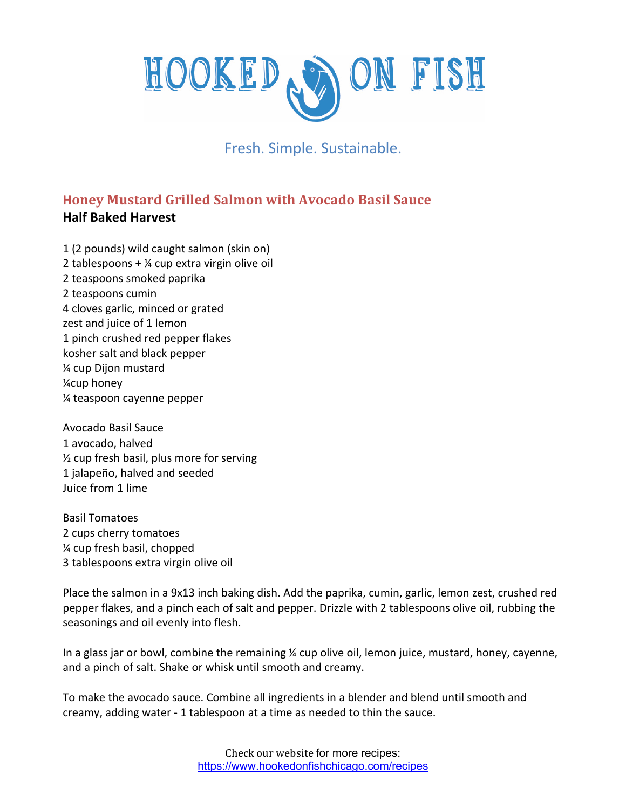## ON FISH HOOKED,

Fresh. Simple. Sustainable.

## **Honey Mustard Grilled Salmon with Avocado Basil Sauce Half Baked Harvest**

1 (2 pounds) wild caught salmon (skin on) 2 tablespoons + ¼ cup extra virgin olive oil 2 teaspoons smoked paprika 2 teaspoons cumin 4 cloves garlic, minced or grated zest and juice of 1 lemon 1 pinch crushed red pepper flakes kosher salt and black pepper ¼ cup Dijon mustard ¼cup honey ¼ teaspoon cayenne pepper

Avocado Basil Sauce 1 avocado, halved ½ cup fresh basil, plus more for serving 1 jalapeño, halved and seeded Juice from 1 lime

Basil Tomatoes 2 cups cherry tomatoes ¼ cup fresh basil, chopped 3 tablespoons extra virgin olive oil

Place the salmon in a 9x13 inch baking dish. Add the paprika, cumin, garlic, lemon zest, crushed red pepper flakes, and a pinch each of salt and pepper. Drizzle with 2 tablespoons olive oil, rubbing the seasonings and oil evenly into flesh.

In a glass jar or bowl, combine the remaining  $\chi$  cup olive oil, lemon juice, mustard, honey, cayenne, and a pinch of salt. Shake or whisk until smooth and creamy.

To make the avocado sauce. Combine all ingredients in a blender and blend until smooth and creamy, adding water - 1 tablespoon at a time as needed to thin the sauce.